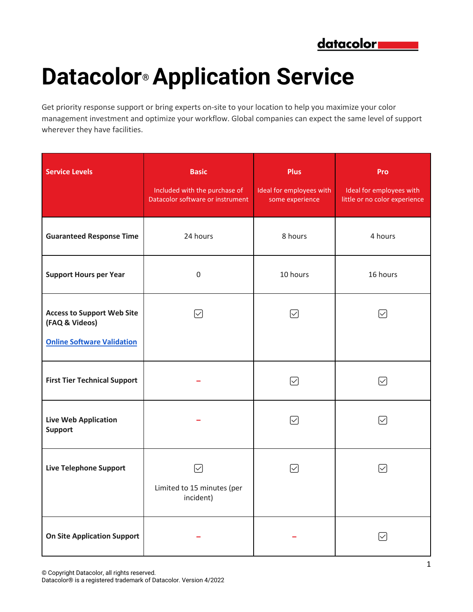

## **Datacolor® Application Service**

Get priority response support or bring experts on-site to your location to help you maximize your color management investment and optimize your workflow. Global companies can expect the same level of support wherever they have facilities.

| <b>Service Levels</b>                                                                    | <b>Basic</b><br>Included with the purchase of<br>Datacolor software or instrument | <b>Plus</b><br>Ideal for employees with<br>some experience | Pro<br>Ideal for employees with<br>little or no color experience |
|------------------------------------------------------------------------------------------|-----------------------------------------------------------------------------------|------------------------------------------------------------|------------------------------------------------------------------|
| <b>Guaranteed Response Time</b>                                                          | 24 hours                                                                          | 8 hours                                                    | 4 hours                                                          |
| <b>Support Hours per Year</b>                                                            | $\mathbf 0$                                                                       | 10 hours                                                   | 16 hours                                                         |
| <b>Access to Support Web Site</b><br>(FAQ & Videos)<br><b>Online Software Validation</b> | ☑                                                                                 | ☑                                                          | ☑                                                                |
| <b>First Tier Technical Support</b>                                                      |                                                                                   | $\backsim$                                                 | $\mid\!\!\sqrt{ } \mid$                                          |
| <b>Live Web Application</b><br><b>Support</b>                                            |                                                                                   | $\backsim$                                                 | $\backsim$                                                       |
| <b>Live Telephone Support</b>                                                            | ☑<br>Limited to 15 minutes (per<br>incident)                                      | ☑                                                          | $\sim$                                                           |
| <b>On Site Application Support</b>                                                       |                                                                                   |                                                            |                                                                  |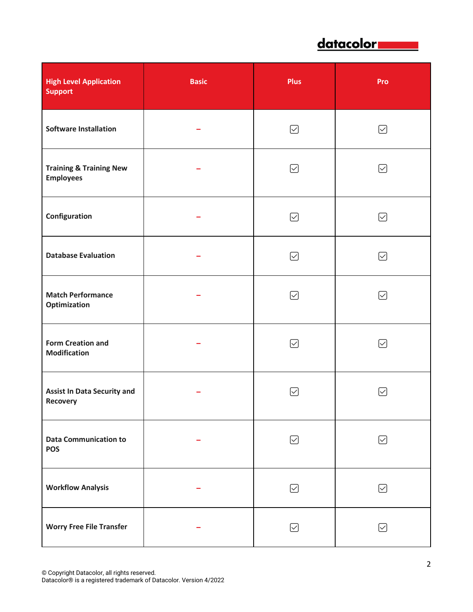

| <b>High Level Application</b><br><b>Support</b>        | <b>Basic</b> | <b>Plus</b>             | Pro                   |
|--------------------------------------------------------|--------------|-------------------------|-----------------------|
| <b>Software Installation</b>                           |              | ☑                       | ☑                     |
| <b>Training &amp; Training New</b><br><b>Employees</b> |              | ☑                       | ☑                     |
| Configuration                                          |              | ☑                       | ☑                     |
| <b>Database Evaluation</b>                             |              | ☑                       | ☑                     |
| <b>Match Performance</b><br>Optimization               |              | ☑                       | ☑                     |
| <b>Form Creation and</b><br><b>Modification</b>        |              | $\left \smile\right $   | ☑                     |
| <b>Assist In Data Security and</b><br><b>Recovery</b>  |              | $\mid\!\!\sqrt{ } \mid$ | $\left \smile\right $ |
| <b>Data Communication to</b><br><b>POS</b>             |              | ☑                       | ☑                     |
| <b>Workflow Analysis</b>                               |              | ☑                       | ☑                     |
| <b>Worry Free File Transfer</b>                        |              | ☑                       | ☑                     |